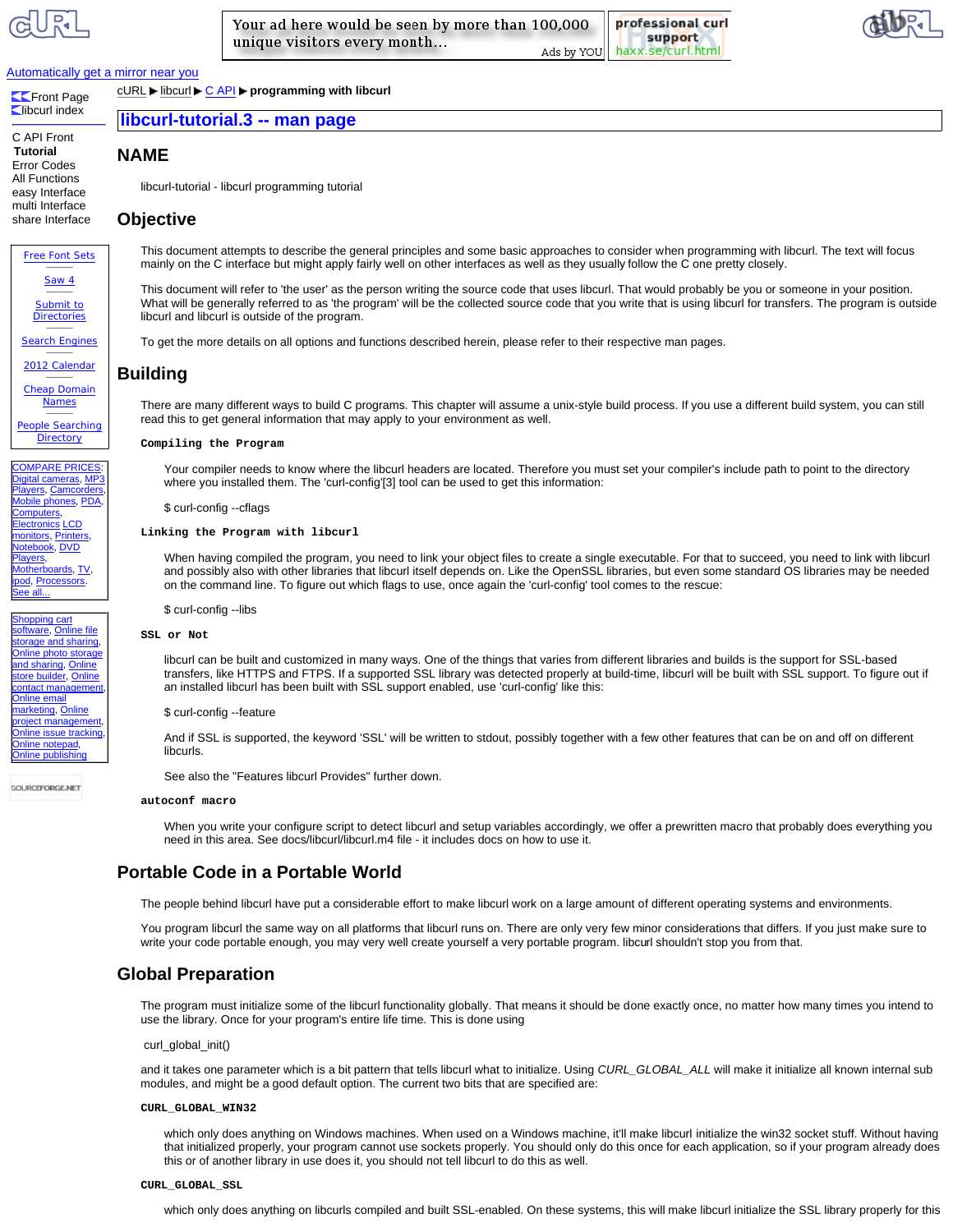professional curl support haxx.se/curl.html Ads by YOU



## Automatically get a mirror near you

**Exercise** Page **Libcurl index** 

**Tutorial**

cURL ► libcurl ► C API ► programming with libcurl **libcurl-tutorial.3 -- man page** 

# **NAME**

libcurl-tutorial - libcurl programming tutorial

# **Objective**

This document attempts to describe the general principles and some basic approaches to consider when programming with libcurl. The text will focus mainly on the C interface but might apply fairly well on other interfaces as well as they usually follow the C one pretty closely.

This document will refer to 'the user' as the person writing the source code that uses libcurl. That would probably be you or someone in your position. What will be generally referred to as 'the program' will be the collected source code that you write that is using libcurl for transfers. The program is outside libcurl and libcurl is outside of the program.

To get the more details on all options and functions described herein, please refer to their respective man pages.

# **Building**

There are many different ways to build C programs. This chapter will assume a unix-style build process. If you use a different build system, you can still read this to get general information that may apply to your environment as well.

## **Compiling the Program**

Your compiler needs to know where the libcurl headers are located. Therefore you must set your compiler's include path to point to the directory where you installed them. The 'curl-config'[3] tool can be used to get this information:

\$ curl-config --cflags

## **Linking the Program with libcurl**

When having compiled the program, you need to link your object files to create a single executable. For that to succeed, you need to link with libcurl and possibly also with other libraries that libcurl itself depends on. Like the OpenSSL libraries, but even some standard OS libraries may be needed on the command line. To figure out which flags to use, once again the 'curl-config' tool comes to the rescue:

\$ curl-config --libs

## **SSL or Not**

libcurl can be built and customized in many ways. One of the things that varies from different libraries and builds is the support for SSL-based transfers, like HTTPS and FTPS. If a supported SSL library was detected properly at build-time, libcurl will be built with SSL support. To figure out if an installed libcurl has been built with SSL support enabled, use 'curl-config' like this:

#### \$ curl-config --feature

And if SSL is supported, the keyword 'SSL' will be written to stdout, possibly together with a few other features that can be on and off on different libcurls.

See also the "Features libcurl Provides" further down.

## **autoconf macro**

When you write your configure script to detect libcurl and setup variables accordingly, we offer a prewritten macro that probably does everything you need in this area. See docs/libcurl/libcurl.m4 file - it includes docs on how to use it.

# **Portable Code in a Portable World**

The people behind libcurl have put a considerable effort to make libcurl work on a large amount of different operating systems and environments.

You program libcurl the same way on all platforms that libcurl runs on. There are only very few minor considerations that differs. If you just make sure to write your code portable enough, you may very well create yourself a very portable program. libcurl shouldn't stop you from that.

# **Global Preparation**

The program must initialize some of the libcurl functionality globally. That means it should be done exactly once, no matter how many times you intend to use the library. Once for your program's entire life time. This is done using

#### curl\_global\_init()

and it takes one parameter which is a bit pattern that tells libcurl what to initialize. Using *CURL\_GLOBAL\_ALL* will make it initialize all known internal sub modules, and might be a good default option. The current two bits that are specified are:

## **CURL\_GLOBAL\_WIN32**

which only does anything on Windows machines. When used on a Windows machine, it'll make libcurl initialize the win32 socket stuff. Without having that initialized properly, your program cannot use sockets properly. You should only do this once for each application, so if your program already does this or of another library in use does it, you should not tell libcurl to do this as well.

which only does anything on libcurls compiled and built SSL-enabled. On these systems, this will make libcurl initialize the SSL library properly for this

# C API Front

Error Codes All Functions easy Interface multi Interface share Interface Free Font Sets Saw 4 Submit to **Directories** Search Engines 2012 Calendar Cheap Domain

Names People Searching **Directory** 

**COMPARE PRICES** Digital cameras, MP3 Players, Camcorders, Mobile phones, PDA, omputers, **Iectronics** LCD nonitors, Printers otebook, DVD layers, Aotherboards, TV, **od, Processors.** <u>ee all.</u>

hopping cart oftware, Online file torage and sharing Online photo storage nd sharing, Online store builder, Online ontact management Online email narketing, Online roject management Online issue tracking, Online notepad, Online publishing

SOURCEFORGE.NET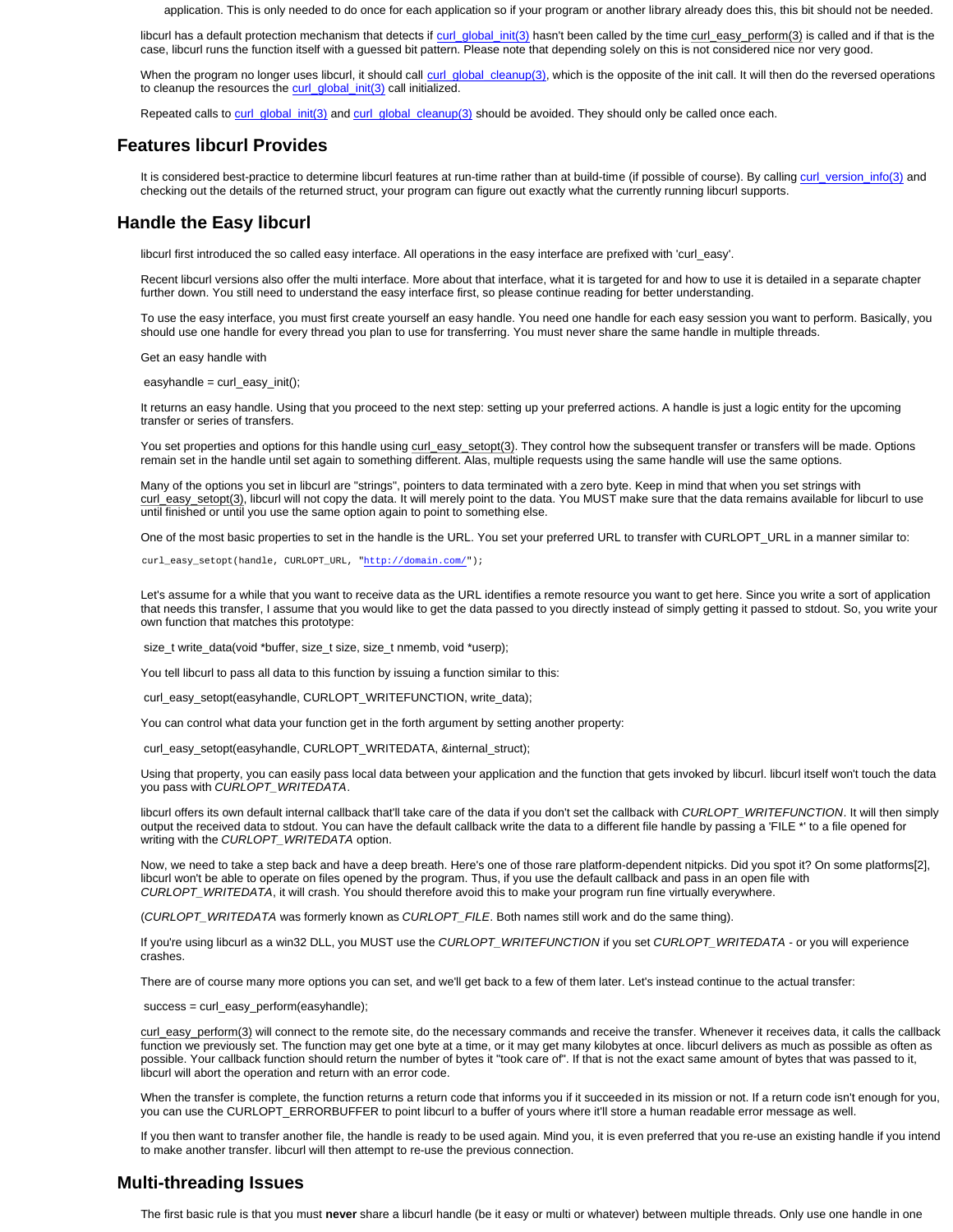application. This is only needed to do once for each application so if your program or another library already does this, this bit should not be needed.

libcurl has a default protection mechanism that detects if curl\_global\_init(3) hasn't been called by the time curl\_easy\_perform(3) is called and if that is the case, libcurl runs the function itself with a guessed bit pattern. Please note that depending solely on this is not considered nice nor very good.

When the program no longer uses libcurl, it should call curl\_global\_cleanup(3), which is the opposite of the init call. It will then do the reversed operations to cleanup the resources the curl\_global\_init(3) call initialized.

Repeated calls to curl\_global\_init(3) and curl\_global\_cleanup(3) should be avoided. They should only be called once each.

# **Features libcurl Provides**

It is considered best-practice to determine libcurl features at run-time rather than at build-time (if possible of course). By calling curl\_version\_info(3) and checking out the details of the returned struct, your program can figure out exactly what the currently running libcurl supports.

# **Handle the Easy libcurl**

libcurl first introduced the so called easy interface. All operations in the easy interface are prefixed with 'curl\_easy'.

Recent libcurl versions also offer the multi interface. More about that interface, what it is targeted for and how to use it is detailed in a separate chapter further down. You still need to understand the easy interface first, so please continue reading for better understanding.

To use the easy interface, you must first create yourself an easy handle. You need one handle for each easy session you want to perform. Basically, you should use one handle for every thread you plan to use for transferring. You must never share the same handle in multiple threads.

Get an easy handle with

easyhandle =  $curl$  easy  $init()$ ;

It returns an easy handle. Using that you proceed to the next step: setting up your preferred actions. A handle is just a logic entity for the upcoming transfer or series of transfers.

You set properties and options for this handle using curl\_easy\_setopt(3). They control how the subsequent transfer or transfers will be made. Options remain set in the handle until set again to something different. Alas, multiple requests using the same handle will use the same options.

Many of the options you set in libcurl are "strings", pointers to data terminated with a zero byte. Keep in mind that when you set strings with curl\_easy\_setopt(3), libcurl will not copy the data. It will merely point to the data. You MUST make sure that the data remains available for libcurl to use until finished or until you use the same option again to point to something else.

One of the most basic properties to set in the handle is the URL. You set your preferred URL to transfer with CURLOPT\_URL in a manner similar to:

curl\_easy\_setopt(handle, CURLOPT\_URL, "http://domain.com/");

Let's assume for a while that you want to receive data as the URL identifies a remote resource you want to get here. Since you write a sort of application that needs this transfer, I assume that you would like to get the data passed to you directly instead of simply getting it passed to stdout. So, you write your own function that matches this prototype:

size\_t write\_data(void \*buffer, size\_t size, size\_t nmemb, void \*userp);

You tell libcurl to pass all data to this function by issuing a function similar to this:

curl\_easy\_setopt(easyhandle, CURLOPT\_WRITEFUNCTION, write\_data);

You can control what data your function get in the forth argument by setting another property:

curl\_easy\_setopt(easyhandle, CURLOPT\_WRITEDATA, &internal\_struct);

Using that property, you can easily pass local data between your application and the function that gets invoked by libcurl. libcurl itself won't touch the data you pass with *CURLOPT\_WRITEDATA*.

libcurl offers its own default internal callback that'll take care of the data if you don't set the callback with *CURLOPT\_WRITEFUNCTION*. It will then simply output the received data to stdout. You can have the default callback write the data to a different file handle by passing a 'FILE \*' to a file opened for writing with the *CURLOPT\_WRITEDATA* option.

Now, we need to take a step back and have a deep breath. Here's one of those rare platform-dependent nitpicks. Did you spot it? On some platforms[2], libcurl won't be able to operate on files opened by the program. Thus, if you use the default callback and pass in an open file with *CURLOPT\_WRITEDATA*, it will crash. You should therefore avoid this to make your program run fine virtually everywhere.

(*CURLOPT\_WRITEDATA* was formerly known as *CURLOPT\_FILE*. Both names still work and do the same thing).

If you're using libcurl as a win32 DLL, you MUST use the *CURLOPT\_WRITEFUNCTION* if you set *CURLOPT\_WRITEDATA* - or you will experience crashes.

There are of course many more options you can set, and we'll get back to a few of them later. Let's instead continue to the actual transfer:

success = curl\_easy\_perform(easyhandle);

curl\_easy\_perform(3) will connect to the remote site, do the necessary commands and receive the transfer. Whenever it receives data, it calls the callback function we previously set. The function may get one byte at a time, or it may get many kilobytes at once. libcurl delivers as much as possible as often as possible. Your callback function should return the number of bytes it "took care of". If that is not the exact same amount of bytes that was passed to it, libcurl will abort the operation and return with an error code.

When the transfer is complete, the function returns a return code that informs you if it succeeded in its mission or not. If a return code isn't enough for you, you can use the CURLOPT\_ERRORBUFFER to point libcurl to a buffer of yours where it'll store a human readable error message as well.

If you then want to transfer another file, the handle is ready to be used again. Mind you, it is even preferred that you re-use an existing handle if you intend to make another transfer. libcurl will then attempt to re-use the previous connection.

# **Multi-threading Issues**

The first basic rule is that you must **never** share a libcurl handle (be it easy or multi or whatever) between multiple threads. Only use one handle in one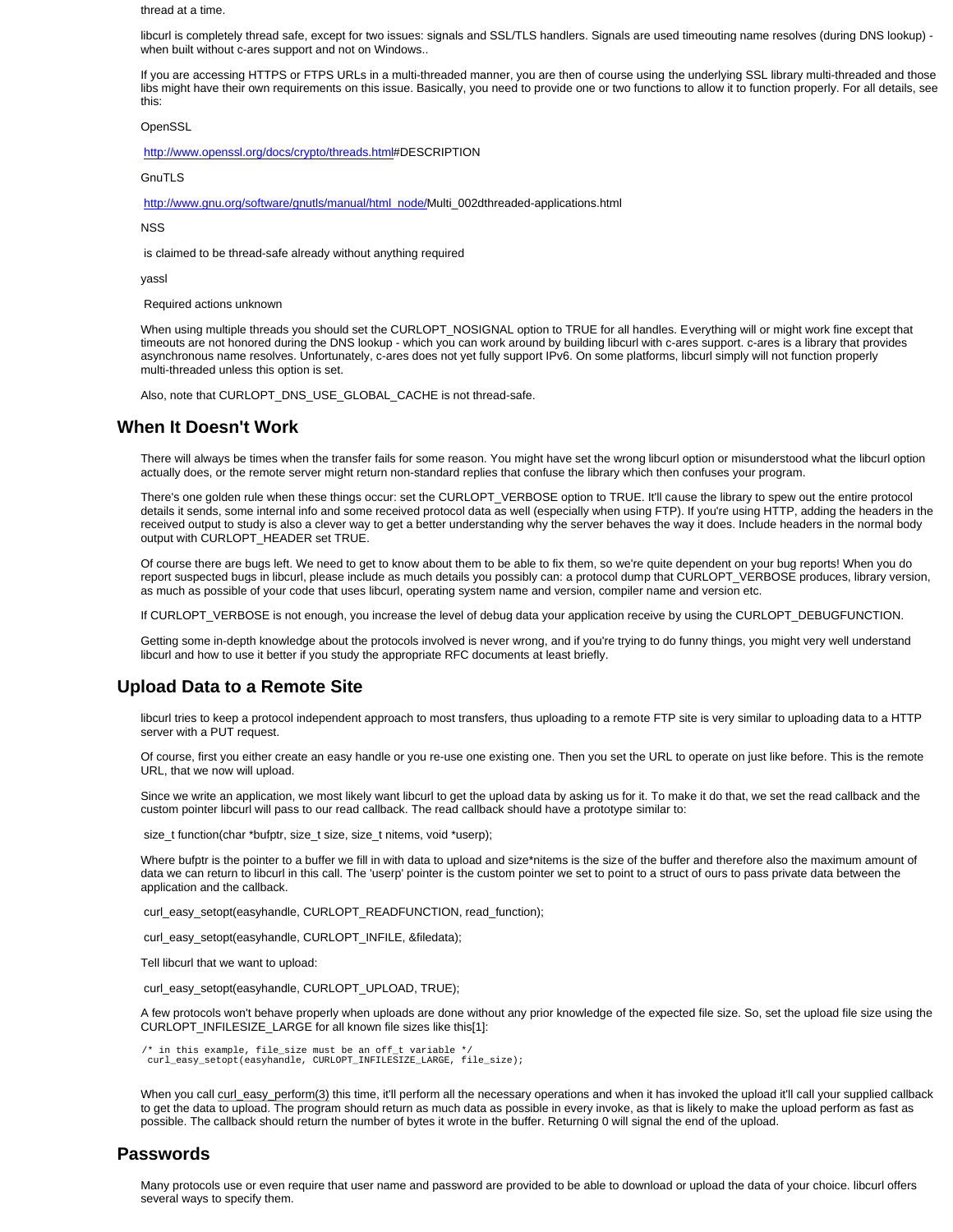thread at a time.

libcurl is completely thread safe, except for two issues: signals and SSL/TLS handlers. Signals are used timeouting name resolves (during DNS lookup) when built without c-ares support and not on Windows..

If you are accessing HTTPS or FTPS URLs in a multi-threaded manner, you are then of course using the underlying SSL library multi-threaded and those libs might have their own requirements on this issue. Basically, you need to provide one or two functions to allow it to function properly. For all details, see this:

**OpenSSL** 

http://www.openssl.org/docs/crypto/threads.html#DESCRIPTION

**GnuTLS** 

http://www.gnu.org/software/gnutls/manual/html\_node/Multi\_002dthreaded-applications.html

NSS

is claimed to be thread-safe already without anything required

yassl

Required actions unknown

When using multiple threads you should set the CURLOPT\_NOSIGNAL option to TRUE for all handles. Everything will or might work fine except that timeouts are not honored during the DNS lookup - which you can work around by building libcurl with c-ares support. c-ares is a library that provides asynchronous name resolves. Unfortunately, c-ares does not yet fully support IPv6. On some platforms, libcurl simply will not function properly multi-threaded unless this option is set.

Also, note that CURLOPT\_DNS\_USE\_GLOBAL\_CACHE is not thread-safe.

## **When It Doesn't Work**

There will always be times when the transfer fails for some reason. You might have set the wrong libcurl option or misunderstood what the libcurl option actually does, or the remote server might return non-standard replies that confuse the library which then confuses your program.

There's one golden rule when these things occur: set the CURLOPT\_VERBOSE option to TRUE. It'll cause the library to spew out the entire protocol details it sends, some internal info and some received protocol data as well (especially when using FTP). If you're using HTTP, adding the headers in the received output to study is also a clever way to get a better understanding why the server behaves the way it does. Include headers in the normal body output with CURLOPT\_HEADER set TRUE.

Of course there are bugs left. We need to get to know about them to be able to fix them, so we're quite dependent on your bug reports! When you do report suspected bugs in libcurl, please include as much details you possibly can: a protocol dump that CURLOPT\_VERBOSE produces, library version, as much as possible of your code that uses libcurl, operating system name and version, compiler name and version etc.

If CURLOPT\_VERBOSE is not enough, you increase the level of debug data your application receive by using the CURLOPT\_DEBUGFUNCTION.

Getting some in-depth knowledge about the protocols involved is never wrong, and if you're trying to do funny things, you might very well understand libcurl and how to use it better if you study the appropriate RFC documents at least briefly.

# **Upload Data to a Remote Site**

libcurl tries to keep a protocol independent approach to most transfers, thus uploading to a remote FTP site is very similar to uploading data to a HTTP server with a PUT request.

Of course, first you either create an easy handle or you re-use one existing one. Then you set the URL to operate on just like before. This is the remote URL, that we now will upload.

Since we write an application, we most likely want libcurl to get the upload data by asking us for it. To make it do that, we set the read callback and the custom pointer libcurl will pass to our read callback. The read callback should have a prototype similar to:

size\_t function(char \*bufptr, size\_t size, size\_t nitems, void \*userp);

Where bufptr is the pointer to a buffer we fill in with data to upload and size\*nitems is the size of the buffer and therefore also the maximum amount of data we can return to libcurl in this call. The 'userp' pointer is the custom pointer we set to point to a struct of ours to pass private data between the application and the callback.

curl\_easy\_setopt(easyhandle, CURLOPT\_READFUNCTION, read\_function);

curl\_easy\_setopt(easyhandle, CURLOPT\_INFILE, &filedata);

Tell libcurl that we want to upload:

curl\_easy\_setopt(easyhandle, CURLOPT\_UPLOAD, TRUE);

A few protocols won't behave properly when uploads are done without any prior knowledge of the expected file size. So, set the upload file size using the CURLOPT\_INFILESIZE\_LARGE for all known file sizes like this[1]:

/\* in this example, file\_size must be an off\_t variable \*/ curl\_easy\_setopt(easyhandle, CURLOPT\_INFILESIZE\_LARGE, file\_size);

When you call curl\_easy\_perform(3) this time, it'll perform all the necessary operations and when it has invoked the upload it'll call your supplied callback to get the data to upload. The program should return as much data as possible in every invoke, as that is likely to make the upload perform as fast as possible. The callback should return the number of bytes it wrote in the buffer. Returning 0 will signal the end of the upload.

## **Passwords**

Many protocols use or even require that user name and password are provided to be able to download or upload the data of your choice. libcurl offers several ways to specify them.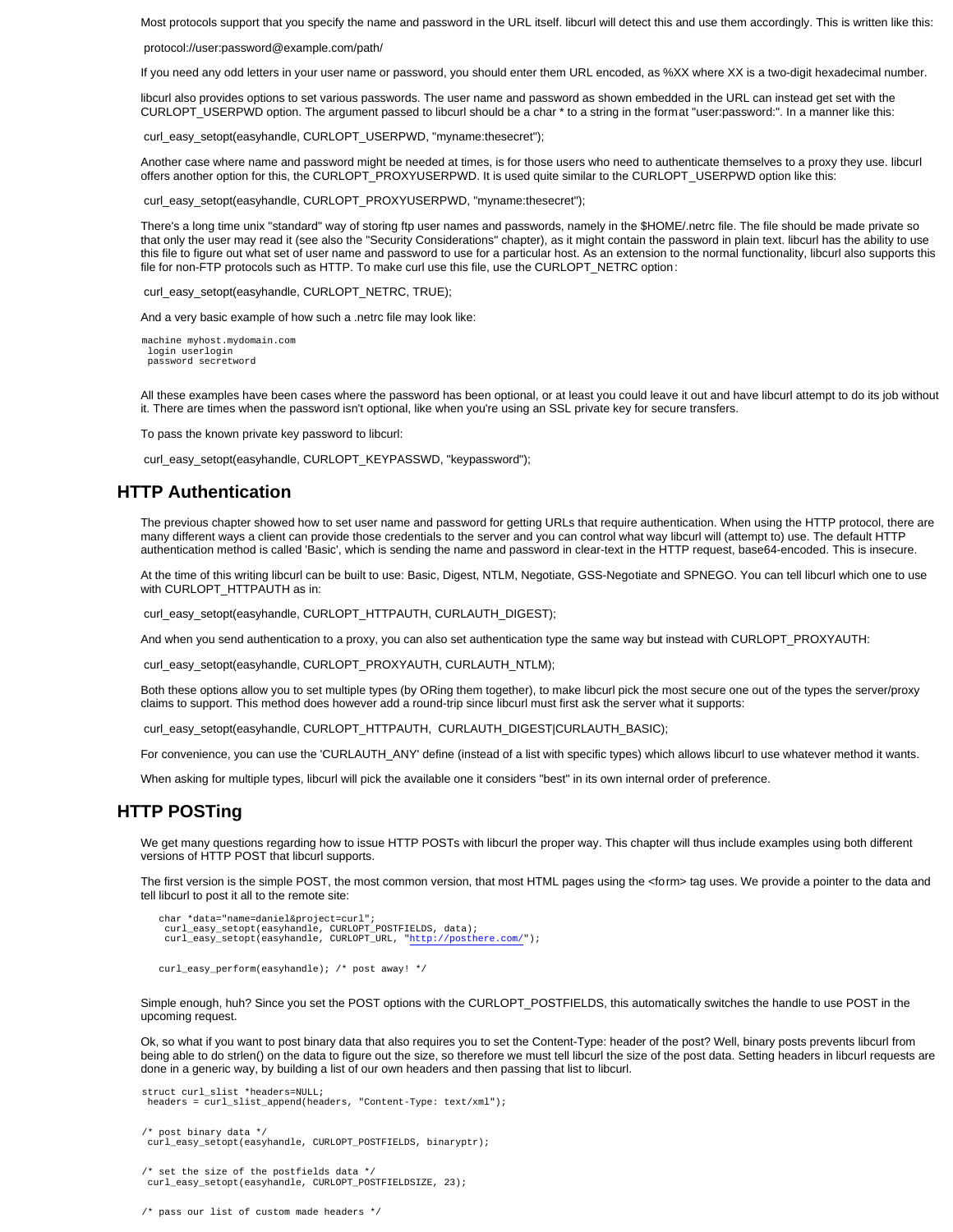Most protocols support that you specify the name and password in the URL itself. libcurl will detect this and use them accordingly. This is written like this:

protocol://user:password@example.com/path/

If you need any odd letters in your user name or password, you should enter them URL encoded, as %XX where XX is a two-digit hexadecimal number.

libcurl also provides options to set various passwords. The user name and password as shown embedded in the URL can instead get set with the CURLOPT\_USERPWD option. The argument passed to libcurl should be a char \* to a string in the format "user:password:". In a manner like this:

curl\_easy\_setopt(easyhandle, CURLOPT\_USERPWD, "myname:thesecret");

Another case where name and password might be needed at times, is for those users who need to authenticate themselves to a proxy they use. libcurl offers another option for this, the CURLOPT\_PROXYUSERPWD. It is used quite similar to the CURLOPT\_USERPWD option like this:

curl\_easy\_setopt(easyhandle, CURLOPT\_PROXYUSERPWD, "myname:thesecret");

There's a long time unix "standard" way of storing ftp user names and passwords, namely in the \$HOME/.netrc file. The file should be made private so that only the user may read it (see also the "Security Considerations" chapter), as it might contain the password in plain text. libcurl has the ability to use this file to figure out what set of user name and password to use for a particular host. As an extension to the normal functionality, libcurl also supports this file for non-FTP protocols such as HTTP. To make curl use this file, use the CURLOPT\_NETRC option:

curl\_easy\_setopt(easyhandle, CURLOPT\_NETRC, TRUE);

And a very basic example of how such a .netrc file may look like:

 machine myhost.mydomain.com login userlogin password secretword

All these examples have been cases where the password has been optional, or at least you could leave it out and have libcurl attempt to do its job without it. There are times when the password isn't optional, like when you're using an SSL private key for secure transfers.

To pass the known private key password to libcurl:

curl\_easy\_setopt(easyhandle, CURLOPT\_KEYPASSWD, "keypassword");

# **HTTP Authentication**

The previous chapter showed how to set user name and password for getting URLs that require authentication. When using the HTTP protocol, there are many different ways a client can provide those credentials to the server and you can control what way libcurl will (attempt to) use. The default HTTP authentication method is called 'Basic', which is sending the name and password in clear-text in the HTTP request, base64-encoded. This is insecure.

At the time of this writing libcurl can be built to use: Basic, Digest, NTLM, Negotiate, GSS-Negotiate and SPNEGO. You can tell libcurl which one to use with CURLOPT\_HTTPAUTH as in:

curl\_easy\_setopt(easyhandle, CURLOPT\_HTTPAUTH, CURLAUTH\_DIGEST);

And when you send authentication to a proxy, you can also set authentication type the same way but instead with CURLOPT\_PROXYAUTH:

curl\_easy\_setopt(easyhandle, CURLOPT\_PROXYAUTH, CURLAUTH\_NTLM);

Both these options allow you to set multiple types (by ORing them together), to make libcurl pick the most secure one out of the types the server/proxy claims to support. This method does however add a round-trip since libcurl must first ask the server what it supports:

curl\_easy\_setopt(easyhandle, CURLOPT\_HTTPAUTH, CURLAUTH\_DIGEST|CURLAUTH\_BASIC);

For convenience, you can use the 'CURLAUTH\_ANY' define (instead of a list with specific types) which allows libcurl to use whatever method it wants.

When asking for multiple types, libcurl will pick the available one it considers "best" in its own internal order of preference.

# **HTTP POSTing**

We get many questions regarding how to issue HTTP POSTs with libcurl the proper way. This chapter will thus include examples using both different versions of HTTP POST that libcurl supports.

The first version is the simple POST, the most common version, that most HTML pages using the <form> tag uses. We provide a pointer to the data and tell libcurl to post it all to the remote site:

```
char *data="name=daniel&project=curl";<br>curl_easy_setopt(easyhandle, CURLOPT_POSTFIELDS, data);<br>curl_easy_setopt(easyhandle, CURLOPT_URL, "http://posthere.com/");
```
curl\_easy\_perform(easyhandle); /\* post away! \*/

Simple enough, huh? Since you set the POST options with the CURLOPT\_POSTFIELDS, this automatically switches the handle to use POST in the upcoming request.

Ok, so what if you want to post binary data that also requires you to set the Content-Type: header of the post? Well, binary posts prevents libcurl from being able to do strlen() on the data to figure out the size, so therefore we must tell libcurl the size of the post data. Setting headers in libcurl requests are done in a generic way, by building a list of our own headers and then passing that list to libcurl.

```
 struct curl_slist *headers=NULL;
headers = curl_slist_append(headers, "Content-Type: text/xml");
```

```
 /* post binary data */
curl_easy_setopt(easyhandle, CURLOPT_POSTFIELDS, binaryptr);
```
 $\prime^*$  set the size of the postfields data \*/ curl\_easy\_setopt(easyhandle, CURLOPT\_POSTFIELDSIZE, 23);

/\* pass our list of custom made headers \*/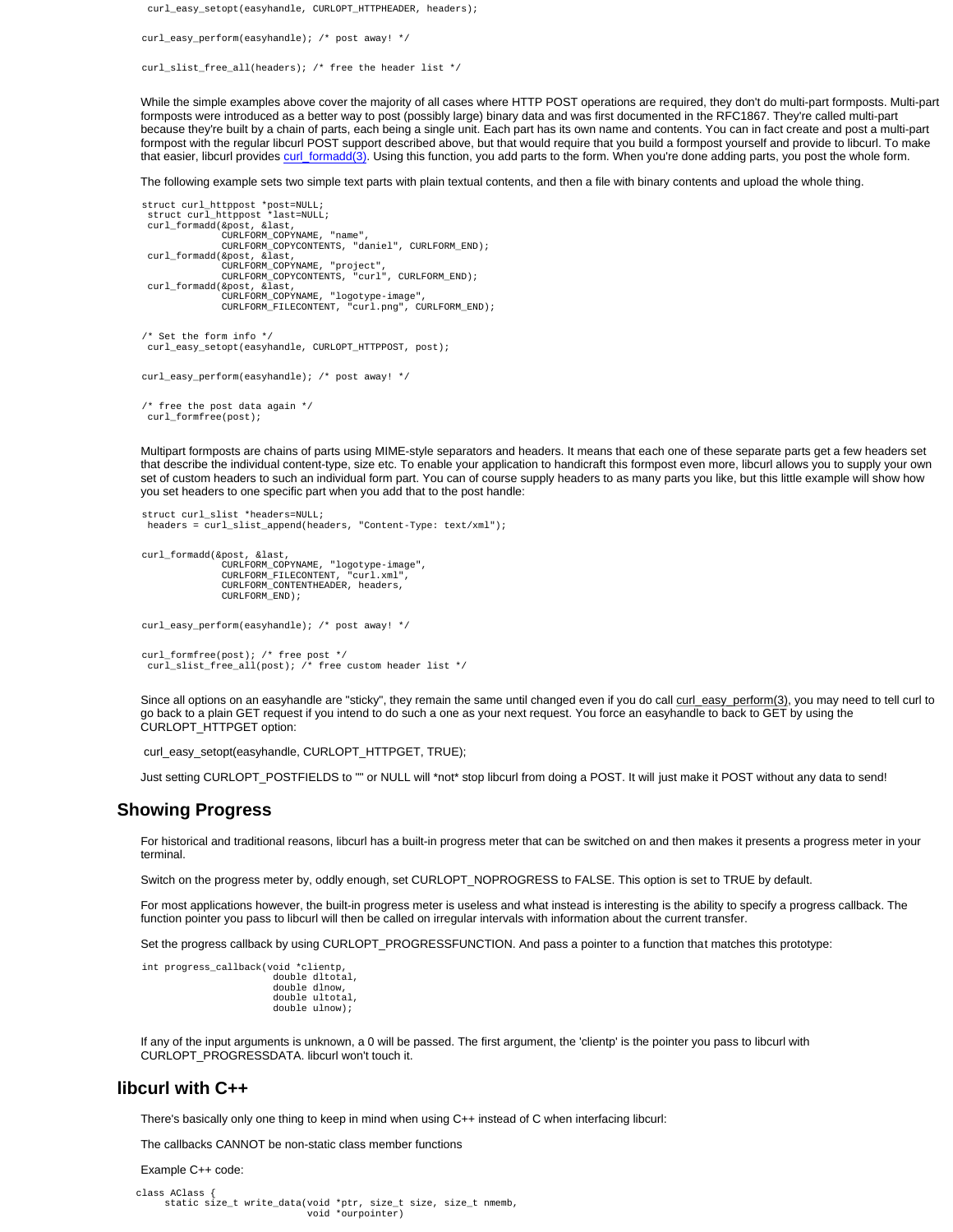curl\_easy\_setopt(easyhandle, CURLOPT\_HTTPHEADER, headers);

curl\_easy\_perform(easyhandle); /\* post away! \*/

curl\_slist\_free\_all(headers); /\* free the header list \*/

While the simple examples above cover the majority of all cases where HTTP POST operations are required, they don't do multi-part formposts. Multi-part formposts were introduced as a better way to post (possibly large) binary data and was first documented in the RFC1867. They're called multi-part because they're built by a chain of parts, each being a single unit. Each part has its own name and contents. You can in fact create and post a multi-part formpost with the regular libcurl POST support described above, but that would require that you build a formpost yourself and provide to libcurl. To make that easier, libcurl provides curl\_formadd(3). Using this function, you add parts to the form. When you're done adding parts, you post the whole form.

The following example sets two simple text parts with plain textual contents, and then a file with binary contents and upload the whole thing.

```
 struct curl_httppost *post=NULL;
struct curl_httppost *last=NULL;
curl_formadd(&post, &last,
CURLFORM_COPYNAME, "name",
CURLFORM_COPYCONTENTS, "daniel", CURLFORM_END);
 curl_formadd(&post, &last,<br>CURLFORM_COPYNAME, "project"
CURLFORM_COPYNAME, "project",
CURLFORM_COPYCONTENTS, "curl", CURLFORM_END);
curl_formadd(&post, &last,
                   CURLFORM_COPYNAME, "logotype-image",
                   CURLFORM_FILECONTENT, "curl.png", CURLFORM_END);
 /* Set the form info */
  curl_easy_setopt(easyhandle, CURLOPT_HTTPPOST, post);
curl_easy_perform(easyhandle); /* post away! */
```
 /\* free the post data again \*/ curl\_formfree(post);

Multipart formposts are chains of parts using MIME-style separators and headers. It means that each one of these separate parts get a few headers set that describe the individual content-type, size etc. To enable your application to handicraft this formpost even more, libcurl allows you to supply your own set of custom headers to such an individual form part. You can of course supply headers to as many parts you like, but this little example will show how you set headers to one specific part when you add that to the post handle:

```
struct curl slist *headers=NULL;
 headers = curl_slist_append(headers, "Content-Type: text/xml");
```

```
 curl_formadd(&post, &last,
               CURLFORM_COPYNAME, "logotype-image",
              CURLFORM_FILECONTENT, "curl.xml",
               CURLFORM_CONTENTHEADER, headers,
               CURLFORM_END);
```
curl\_easy\_perform(easyhandle); /\* post away! \*/

```
 curl_formfree(post); /* free post */
curl_slist_free_all(post); /* free custom header list */
```
Since all options on an easyhandle are "sticky", they remain the same until changed even if you do call curl\_easy\_perform(3), you may need to tell curl to go back to a plain GET request if you intend to do such a one as your next request. You force an easyhandle to back to GET by using the CURLOPT\_HTTPGET option:

curl\_easy\_setopt(easyhandle, CURLOPT\_HTTPGET, TRUE);

Just setting CURLOPT\_POSTFIELDS to "" or NULL will \*not\* stop libcurl from doing a POST. It will just make it POST without any data to send!

## **Showing Progress**

For historical and traditional reasons, libcurl has a built-in progress meter that can be switched on and then makes it presents a progress meter in your terminal.

Switch on the progress meter by, oddly enough, set CURLOPT\_NOPROGRESS to FALSE. This option is set to TRUE by default.

For most applications however, the built-in progress meter is useless and what instead is interesting is the ability to specify a progress callback. The function pointer you pass to libcurl will then be called on irregular intervals with information about the current transfer.

Set the progress callback by using CURLOPT\_PROGRESSFUNCTION. And pass a pointer to a function that matches this prototype:

int progress\_callback(void \*clientp,

|               | double dltotal. |
|---------------|-----------------|
| double dlnow. |                 |
|               | double ultotal. |
|               | double ulnow);  |
|               |                 |

If any of the input arguments is unknown, a 0 will be passed. The first argument, the 'clientp' is the pointer you pass to libcurl with CURLOPT\_PROGRESSDATA. libcurl won't touch it.

## **libcurl with C++**

There's basically only one thing to keep in mind when using C++ instead of C when interfacing libcurl:

The callbacks CANNOT be non-static class member functions

Example C++ code:

```
class AClass {
     static size_t write_data(void *ptr, size_t size, size_t nmemb,
                              void *ourpointer)
```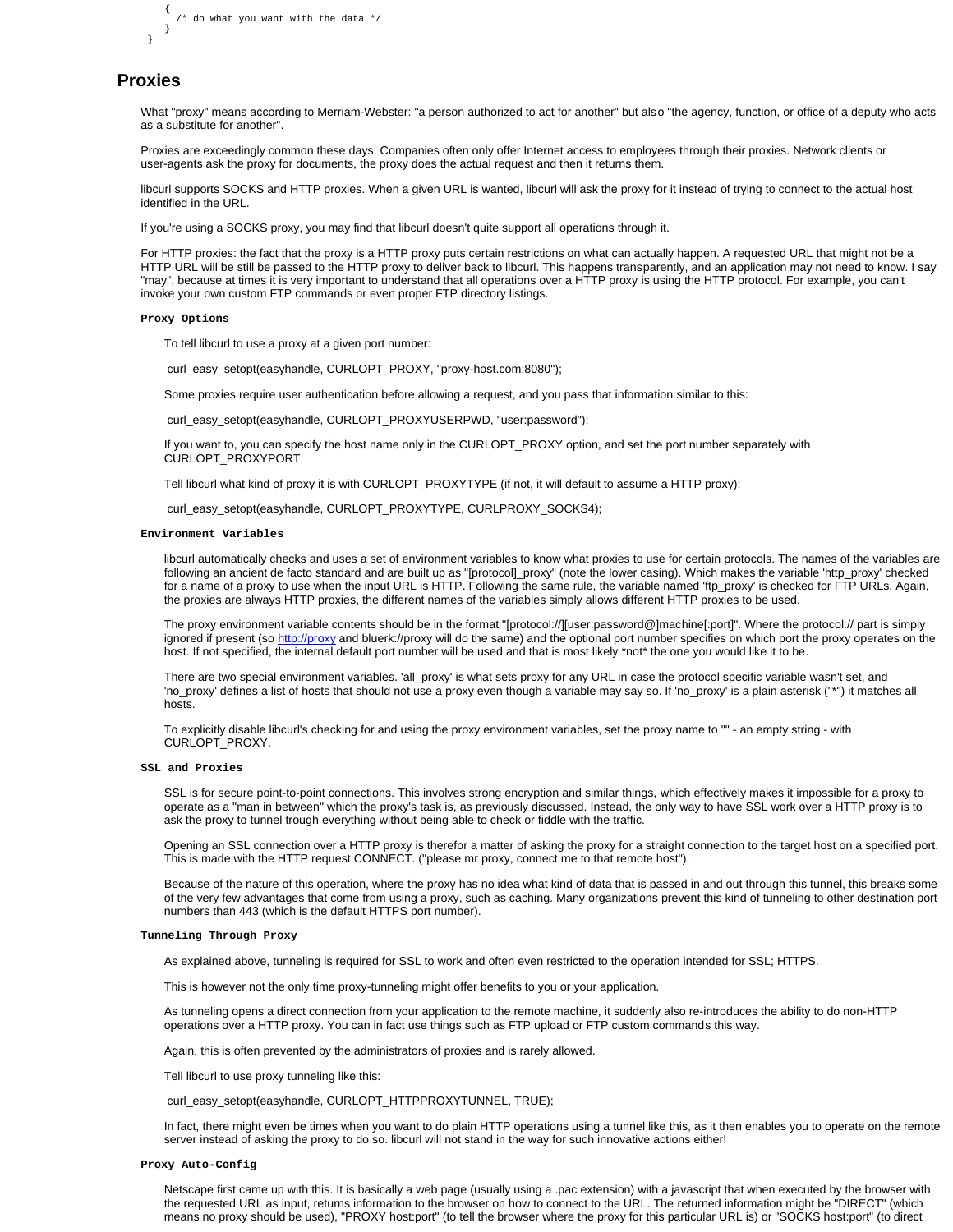```
\left\{ \begin{array}{ccc} \end{array} \right\}\prime^{\star} do what you want with the data */
         }
   }
```
# **Proxies**

What "proxy" means according to Merriam-Webster: "a person authorized to act for another" but also "the agency, function, or office of a deputy who acts as a substitute for another".

Proxies are exceedingly common these days. Companies often only offer Internet access to employees through their proxies. Network clients or user-agents ask the proxy for documents, the proxy does the actual request and then it returns them.

libcurl supports SOCKS and HTTP proxies. When a given URL is wanted, libcurl will ask the proxy for it instead of trying to connect to the actual host identified in the URL.

If you're using a SOCKS proxy, you may find that libcurl doesn't quite support all operations through it.

For HTTP proxies: the fact that the proxy is a HTTP proxy puts certain restrictions on what can actually happen. A requested URL that might not be a HTTP URL will be still be passed to the HTTP proxy to deliver back to libcurl. This happens transparently, and an application may not need to know. I say "may", because at times it is very important to understand that all operations over a HTTP proxy is using the HTTP protocol. For example, you can't invoke your own custom FTP commands or even proper FTP directory listings.

#### **Proxy Options**

To tell libcurl to use a proxy at a given port number:

curl\_easy\_setopt(easyhandle, CURLOPT\_PROXY, "proxy-host.com:8080");

Some proxies require user authentication before allowing a request, and you pass that information similar to this:

curl\_easy\_setopt(easyhandle, CURLOPT\_PROXYUSERPWD, "user:password");

If you want to, you can specify the host name only in the CURLOPT\_PROXY option, and set the port number separately with CURLOPT\_PROXYPORT.

Tell libcurl what kind of proxy it is with CURLOPT\_PROXYTYPE (if not, it will default to assume a HTTP proxy):

curl\_easy\_setopt(easyhandle, CURLOPT\_PROXYTYPE, CURLPROXY\_SOCKS4);

## **Environment Variables**

libcurl automatically checks and uses a set of environment variables to know what proxies to use for certain protocols. The names of the variables are following an ancient de facto standard and are built up as "[protocol]\_proxy" (note the lower casing). Which makes the variable 'http\_proxy' checked for a name of a proxy to use when the input URL is HTTP. Following the same rule, the variable named 'ftp\_proxy' is checked for FTP URLs. Again, the proxies are always HTTP proxies, the different names of the variables simply allows different HTTP proxies to be used.

The proxy environment variable contents should be in the format "[protocol://][user:password@]machine[:port]". Where the protocol:// part is simply ignored if present (so http://proxy and bluerk://proxy will do the same) and the optional port number specifies on which port the proxy operates on the host. If not specified, the internal default port number will be used and that is most likely \*not\* the one you would like it to be.

There are two special environment variables. 'all\_proxy' is what sets proxy for any URL in case the protocol specific variable wasn't set, and 'no\_proxy' defines a list of hosts that should not use a proxy even though a variable may say so. If 'no\_proxy' is a plain asterisk ("\*") it matches all hosts.

To explicitly disable libcurl's checking for and using the proxy environment variables, set the proxy name to "" - an empty string - with CURLOPT\_PROXY.

## **SSL and Proxies**

SSL is for secure point-to-point connections. This involves strong encryption and similar things, which effectively makes it impossible for a proxy to operate as a "man in between" which the proxy's task is, as previously discussed. Instead, the only way to have SSL work over a HTTP proxy is to ask the proxy to tunnel trough everything without being able to check or fiddle with the traffic.

Opening an SSL connection over a HTTP proxy is therefor a matter of asking the proxy for a straight connection to the target host on a specified port. This is made with the HTTP request CONNECT. ("please mr proxy, connect me to that remote host").

Because of the nature of this operation, where the proxy has no idea what kind of data that is passed in and out through this tunnel, this breaks some of the very few advantages that come from using a proxy, such as caching. Many organizations prevent this kind of tunneling to other destination port numbers than 443 (which is the default HTTPS port number).

#### **Tunneling Through Proxy**

As explained above, tunneling is required for SSL to work and often even restricted to the operation intended for SSL; HTTPS.

This is however not the only time proxy-tunneling might offer benefits to you or your application.

As tunneling opens a direct connection from your application to the remote machine, it suddenly also re-introduces the ability to do non-HTTP operations over a HTTP proxy. You can in fact use things such as FTP upload or FTP custom commands this way.

Again, this is often prevented by the administrators of proxies and is rarely allowed.

Tell libcurl to use proxy tunneling like this:

curl\_easy\_setopt(easyhandle, CURLOPT\_HTTPPROXYTUNNEL, TRUE);

In fact, there might even be times when you want to do plain HTTP operations using a tunnel like this, as it then enables you to operate on the remote server instead of asking the proxy to do so. libcurl will not stand in the way for such innovative actions either!

#### **Proxy Auto-Config**

Netscape first came up with this. It is basically a web page (usually using a .pac extension) with a javascript that when executed by the browser with the requested URL as input, returns information to the browser on how to connect to the URL. The returned information might be "DIRECT" (which means no proxy should be used), "PROXY host:port" (to tell the browser where the proxy for this particular URL is) or "SOCKS host:port" (to direct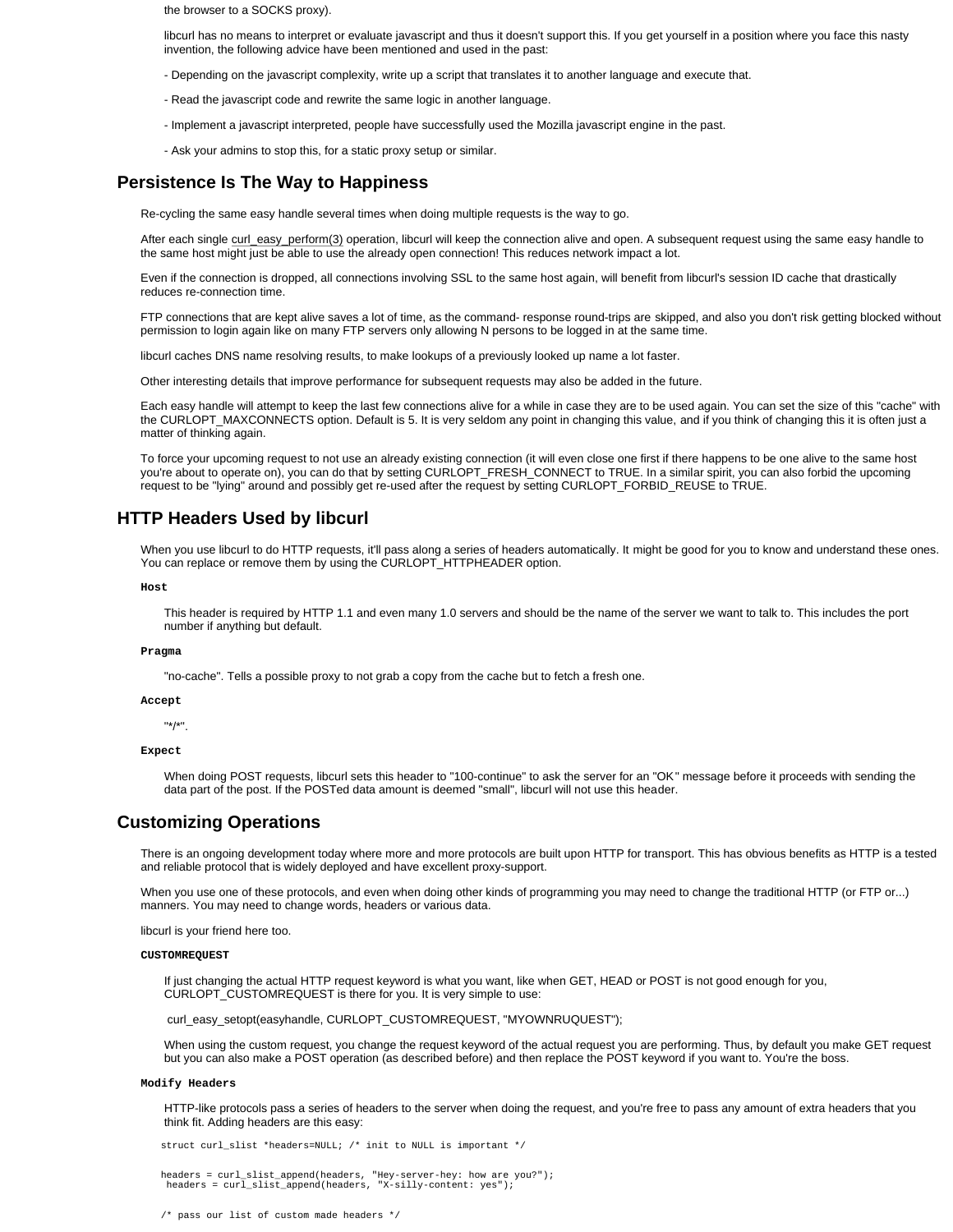the browser to a SOCKS proxy).

libcurl has no means to interpret or evaluate javascript and thus it doesn't support this. If you get yourself in a position where you face this nasty invention, the following advice have been mentioned and used in the past:

- Depending on the javascript complexity, write up a script that translates it to another language and execute that.
- Read the javascript code and rewrite the same logic in another language.
- Implement a javascript interpreted, people have successfully used the Mozilla javascript engine in the past.
- Ask your admins to stop this, for a static proxy setup or similar.

## **Persistence Is The Way to Happiness**

Re-cycling the same easy handle several times when doing multiple requests is the way to go.

After each single curl\_easy\_perform(3) operation, libcurl will keep the connection alive and open. A subsequent request using the same easy handle to the same host might just be able to use the already open connection! This reduces network impact a lot.

Even if the connection is dropped, all connections involving SSL to the same host again, will benefit from libcurl's session ID cache that drastically reduces re-connection time.

FTP connections that are kept alive saves a lot of time, as the command- response round-trips are skipped, and also you don't risk getting blocked without permission to login again like on many FTP servers only allowing N persons to be logged in at the same time.

libcurl caches DNS name resolving results, to make lookups of a previously looked up name a lot faster.

Other interesting details that improve performance for subsequent requests may also be added in the future.

Each easy handle will attempt to keep the last few connections alive for a while in case they are to be used again. You can set the size of this "cache" with the CURLOPT\_MAXCONNECTS option. Default is 5. It is very seldom any point in changing this value, and if you think of changing this it is often just a matter of thinking again.

To force your upcoming request to not use an already existing connection (it will even close one first if there happens to be one alive to the same host you're about to operate on), you can do that by setting CURLOPT\_FRESH\_CONNECT to TRUE. In a similar spirit, you can also forbid the upcoming request to be "lying" around and possibly get re-used after the request by setting CURLOPT\_FORBID\_REUSE to TRUE.

# **HTTP Headers Used by libcurl**

When you use libcurl to do HTTP requests, it'll pass along a series of headers automatically. It might be good for you to know and understand these ones. You can replace or remove them by using the CURLOPT\_HTTPHEADER option.

## **Host**

This header is required by HTTP 1.1 and even many 1.0 servers and should be the name of the server we want to talk to. This includes the port number if anything but default.

#### **Pragma**

"no-cache". Tells a possible proxy to not grab a copy from the cache but to fetch a fresh one.

## **Accept**

"\*/\*".

## **Expect**

When doing POST requests, libcurl sets this header to "100-continue" to ask the server for an "OK" message before it proceeds with sending the data part of the post. If the POSTed data amount is deemed "small", libcurl will not use this header.

# **Customizing Operations**

There is an ongoing development today where more and more protocols are built upon HTTP for transport. This has obvious benefits as HTTP is a tested and reliable protocol that is widely deployed and have excellent proxy-support.

When you use one of these protocols, and even when doing other kinds of programming you may need to change the traditional HTTP (or FTP or...) manners. You may need to change words, headers or various data.

libcurl is your friend here too.

## **CUSTOMREQUEST**

If just changing the actual HTTP request keyword is what you want, like when GET, HEAD or POST is not good enough for you, CURLOPT\_CUSTOMREQUEST is there for you. It is very simple to use:

curl\_easy\_setopt(easyhandle, CURLOPT\_CUSTOMREQUEST, "MYOWNRUQUEST");

When using the custom request, you change the request keyword of the actual request you are performing. Thus, by default you make GET request but you can also make a POST operation (as described before) and then replace the POST keyword if you want to. You're the boss.

## **Modify Headers**

HTTP-like protocols pass a series of headers to the server when doing the request, and you're free to pass any amount of extra headers that you think fit. Adding headers are this easy:

struct curl\_slist \*headers=NULL; /\* init to NULL is important \*/

headers = curl\_slist\_append(headers, "Hey-server-hey: how are you?"); headers = curl\_slist\_append(headers, "X-silly-content: yes");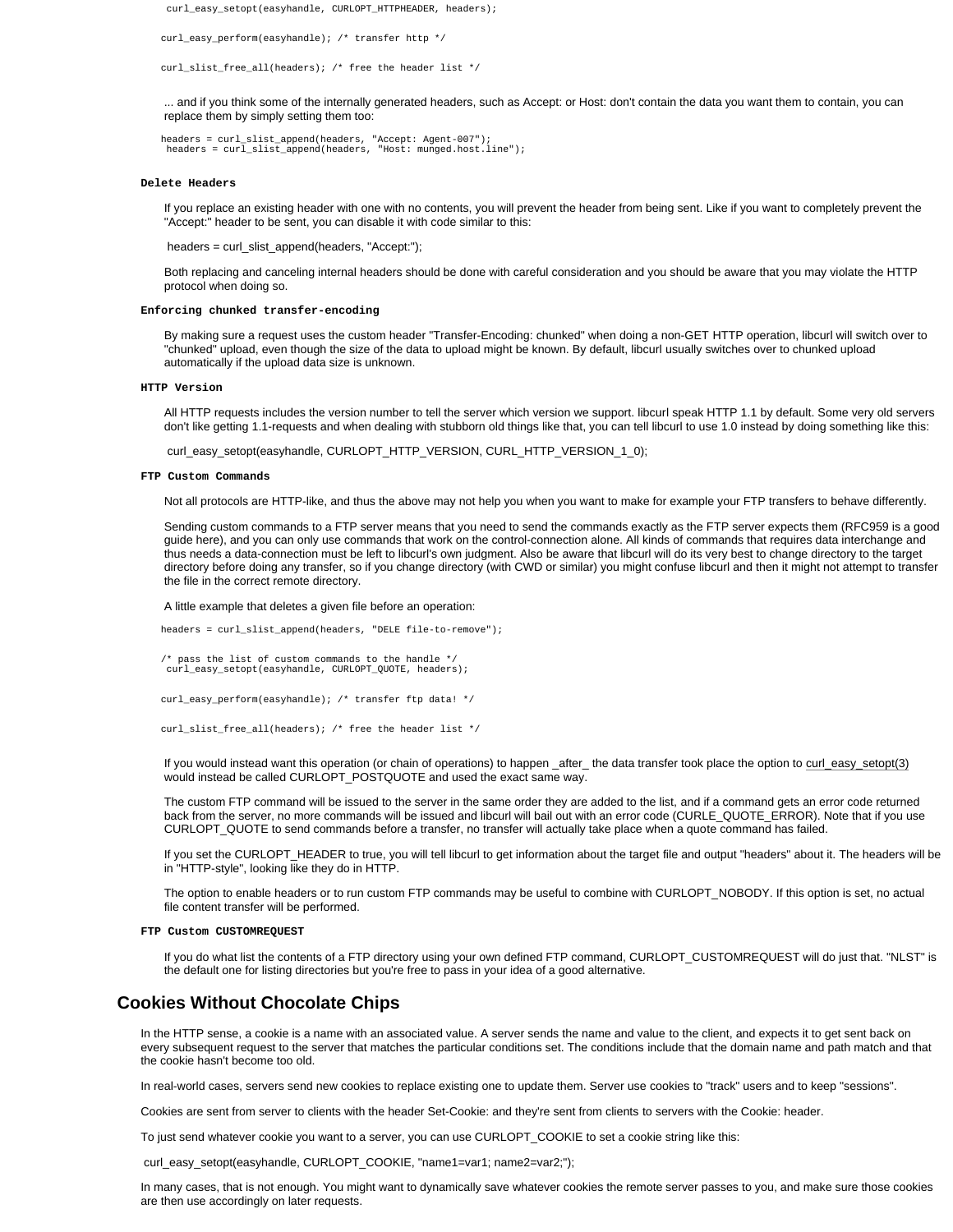curl\_easy\_setopt(easyhandle, CURLOPT\_HTTPHEADER, headers);

curl\_easy\_perform(easyhandle); /\* transfer http \*/

curl\_slist\_free\_all(headers); /\* free the header list \*/

... and if you think some of the internally generated headers, such as Accept: or Host: don't contain the data you want them to contain, you can replace them by simply setting them too:

headers = curl\_slist\_append(headers, "Accept: Agent-007"); headers = curl\_slist\_append(headers, "Host: munged.host.line");

#### **Delete Headers**

If you replace an existing header with one with no contents, you will prevent the header from being sent. Like if you want to completely prevent the "Accept:" header to be sent, you can disable it with code similar to this:

headers = curl\_slist\_append(headers, "Accept:");

Both replacing and canceling internal headers should be done with careful consideration and you should be aware that you may violate the HTTP protocol when doing so.

#### **Enforcing chunked transfer-encoding**

By making sure a request uses the custom header "Transfer-Encoding: chunked" when doing a non-GET HTTP operation, libcurl will switch over to "chunked" upload, even though the size of the data to upload might be known. By default, libcurl usually switches over to chunked upload automatically if the upload data size is unknown.

## **HTTP Version**

All HTTP requests includes the version number to tell the server which version we support. libcurl speak HTTP 1.1 by default. Some very old servers don't like getting 1.1-requests and when dealing with stubborn old things like that, you can tell libcurl to use 1.0 instead by doing something like this:

curl\_easy\_setopt(easyhandle, CURLOPT\_HTTP\_VERSION, CURL\_HTTP\_VERSION\_1\_0);

## **FTP Custom Commands**

Not all protocols are HTTP-like, and thus the above may not help you when you want to make for example your FTP transfers to behave differently.

Sending custom commands to a FTP server means that you need to send the commands exactly as the FTP server expects them (RFC959 is a good guide here), and you can only use commands that work on the control-connection alone. All kinds of commands that requires data interchange and thus needs a data-connection must be left to libcurl's own judgment. Also be aware that libcurl will do its very best to change directory to the target directory before doing any transfer, so if you change directory (with CWD or similar) you might confuse libcurl and then it might not attempt to transfer the file in the correct remote directory.

A little example that deletes a given file before an operation:

headers = curl\_slist\_append(headers, "DELE file-to-remove");

/\* pass the list of custom commands to the handle \*/ curl\_easy\_setopt(easyhandle, CURLOPT\_QUOTE, headers);

curl\_easy\_perform(easyhandle); /\* transfer ftp data! \*/

```
 curl_slist_free_all(headers); /* free the header list */
```
If you would instead want this operation (or chain of operations) to happen \_after\_ the data transfer took place the option to curl\_easy\_setopt(3) would instead be called CURLOPT\_POSTQUOTE and used the exact same way.

The custom FTP command will be issued to the server in the same order they are added to the list, and if a command gets an error code returned back from the server, no more commands will be issued and libcurl will bail out with an error code (CURLE\_QUOTE\_ERROR). Note that if you use CURLOPT\_QUOTE to send commands before a transfer, no transfer will actually take place when a quote command has failed.

If you set the CURLOPT\_HEADER to true, you will tell libcurl to get information about the target file and output "headers" about it. The headers will be in "HTTP-style", looking like they do in HTTP.

The option to enable headers or to run custom FTP commands may be useful to combine with CURLOPT\_NOBODY. If this option is set, no actual file content transfer will be performed.

## **FTP Custom CUSTOMREQUEST**

If you do what list the contents of a FTP directory using your own defined FTP command, CURLOPT\_CUSTOMREQUEST will do just that. "NLST" is the default one for listing directories but you're free to pass in your idea of a good alternative.

# **Cookies Without Chocolate Chips**

In the HTTP sense, a cookie is a name with an associated value. A server sends the name and value to the client, and expects it to get sent back on every subsequent request to the server that matches the particular conditions set. The conditions include that the domain name and path match and that the cookie hasn't become too old.

In real-world cases, servers send new cookies to replace existing one to update them. Server use cookies to "track" users and to keep "sessions".

Cookies are sent from server to clients with the header Set-Cookie: and they're sent from clients to servers with the Cookie: header.

To just send whatever cookie you want to a server, you can use CURLOPT\_COOKIE to set a cookie string like this:

curl\_easy\_setopt(easyhandle, CURLOPT\_COOKIE, "name1=var1; name2=var2;");

In many cases, that is not enough. You might want to dynamically save whatever cookies the remote server passes to you, and make sure those cookies are then use accordingly on later requests.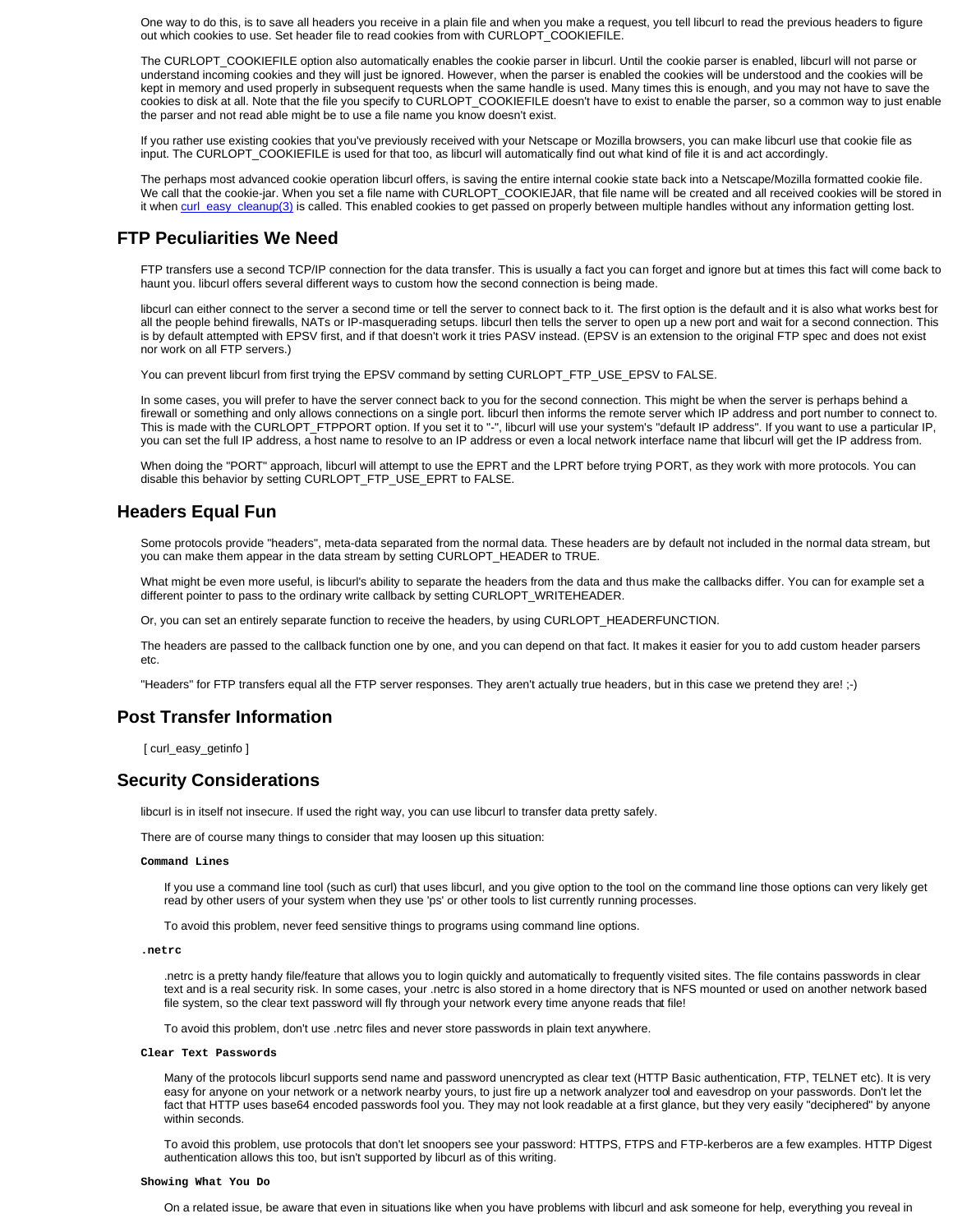One way to do this, is to save all headers you receive in a plain file and when you make a request, you tell libcurl to read the previous headers to figure out which cookies to use. Set header file to read cookies from with CURLOPT\_COOKIEFILE.

The CURLOPT\_COOKIEFILE option also automatically enables the cookie parser in libcurl. Until the cookie parser is enabled, libcurl will not parse or understand incoming cookies and they will just be ignored. However, when the parser is enabled the cookies will be understood and the cookies will be kept in memory and used properly in subsequent requests when the same handle is used. Many times this is enough, and you may not have to save the cookies to disk at all. Note that the file you specify to CURLOPT\_COOKIEFILE doesn't have to exist to enable the parser, so a common way to just enable the parser and not read able might be to use a file name you know doesn't exist.

If you rather use existing cookies that you've previously received with your Netscape or Mozilla browsers, you can make libcurl use that cookie file as input. The CURLOPT\_COOKIEFILE is used for that too, as libcurl will automatically find out what kind of file it is and act accordingly.

The perhaps most advanced cookie operation libcurl offers, is saving the entire internal cookie state back into a Netscape/Mozilla formatted cookie file. We call that the cookie-jar. When you set a file name with CURLOPT\_COOKIEJAR, that file name will be created and all received cookies will be stored in it when curl\_easy\_cleanup(3) is called. This enabled cookies to get passed on properly between multiple handles without any information getting lost.

# **FTP Peculiarities We Need**

FTP transfers use a second TCP/IP connection for the data transfer. This is usually a fact you can forget and ignore but at times this fact will come back to haunt you. libcurl offers several different ways to custom how the second connection is being made.

libcurl can either connect to the server a second time or tell the server to connect back to it. The first option is the default and it is also what works best for all the people behind firewalls, NATs or IP-masquerading setups. libcurl then tells the server to open up a new port and wait for a second connection. This is by default attempted with EPSV first, and if that doesn't work it tries PASV instead. (EPSV is an extension to the original FTP spec and does not exist nor work on all FTP servers.)

You can prevent libcurl from first trying the EPSV command by setting CURLOPT\_FTP\_USE\_EPSV to FALSE.

In some cases, you will prefer to have the server connect back to you for the second connection. This might be when the server is perhaps behind a firewall or something and only allows connections on a single port. libcurl then informs the remote server which IP address and port number to connect to. This is made with the CURLOPT\_FTPPORT option. If you set it to "-", libcurl will use your system's "default IP address". If you want to use a particular IP, you can set the full IP address, a host name to resolve to an IP address or even a local network interface name that libcurl will get the IP address from.

When doing the "PORT" approach, libcurl will attempt to use the EPRT and the LPRT before trying PORT, as they work with more protocols. You can disable this behavior by setting CURLOPT\_FTP\_USE\_EPRT to FALSE.

# **Headers Equal Fun**

Some protocols provide "headers", meta-data separated from the normal data. These headers are by default not included in the normal data stream, but you can make them appear in the data stream by setting CURLOPT\_HEADER to TRUE.

What might be even more useful, is libcurl's ability to separate the headers from the data and thus make the callbacks differ. You can for example set a different pointer to pass to the ordinary write callback by setting CURLOPT\_WRITEHEADER.

Or, you can set an entirely separate function to receive the headers, by using CURLOPT\_HEADERFUNCTION.

The headers are passed to the callback function one by one, and you can depend on that fact. It makes it easier for you to add custom header parsers etc.

"Headers" for FTP transfers equal all the FTP server responses. They aren't actually true headers, but in this case we pretend they are! ;-)

# **Post Transfer Information**

[ curl\_easy\_getinfo ]

# **Security Considerations**

libcurl is in itself not insecure. If used the right way, you can use libcurl to transfer data pretty safely.

There are of course many things to consider that may loosen up this situation:

## **Command Lines**

If you use a command line tool (such as curl) that uses libcurl, and you give option to the tool on the command line those options can very likely get read by other users of your system when they use 'ps' or other tools to list currently running processes.

To avoid this problem, never feed sensitive things to programs using command line options.

### **.netrc**

.netrc is a pretty handy file/feature that allows you to login quickly and automatically to frequently visited sites. The file contains passwords in clear text and is a real security risk. In some cases, your .netrc is also stored in a home directory that is NFS mounted or used on another network based file system, so the clear text password will fly through your network every time anyone reads that file!

To avoid this problem, don't use .netrc files and never store passwords in plain text anywhere.

## **Clear Text Passwords**

Many of the protocols libcurl supports send name and password unencrypted as clear text (HTTP Basic authentication, FTP, TELNET etc). It is very easy for anyone on your network or a network nearby yours, to just fire up a network analyzer tool and eavesdrop on your passwords. Don't let the fact that HTTP uses base64 encoded passwords fool you. They may not look readable at a first glance, but they very easily "deciphered" by anyone within seconds.

To avoid this problem, use protocols that don't let snoopers see your password: HTTPS, FTPS and FTP-kerberos are a few examples. HTTP Digest authentication allows this too, but isn't supported by libcurl as of this writing.

## **Showing What You Do**

On a related issue, be aware that even in situations like when you have problems with libcurl and ask someone for help, everything you reveal in